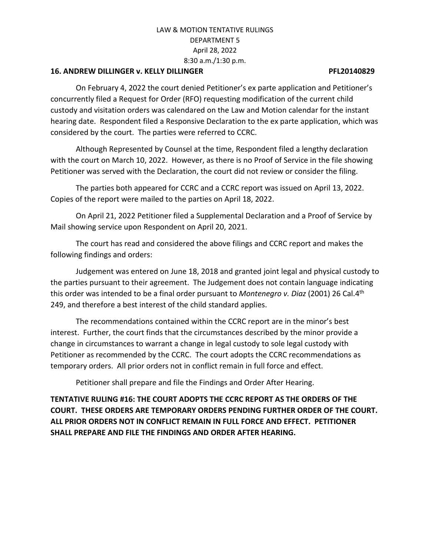## **16. ANDREW DILLINGER v. KELLY DILLINGER PFL20140829**

On February 4, 2022 the court denied Petitioner's ex parte application and Petitioner's concurrently filed a Request for Order (RFO) requesting modification of the current child custody and visitation orders was calendared on the Law and Motion calendar for the instant hearing date. Respondent filed a Responsive Declaration to the ex parte application, which was considered by the court. The parties were referred to CCRC.

Although Represented by Counsel at the time, Respondent filed a lengthy declaration with the court on March 10, 2022. However, as there is no Proof of Service in the file showing Petitioner was served with the Declaration, the court did not review or consider the filing.

The parties both appeared for CCRC and a CCRC report was issued on April 13, 2022. Copies of the report were mailed to the parties on April 18, 2022.

On April 21, 2022 Petitioner filed a Supplemental Declaration and a Proof of Service by Mail showing service upon Respondent on April 20, 2021.

The court has read and considered the above filings and CCRC report and makes the following findings and orders:

Judgement was entered on June 18, 2018 and granted joint legal and physical custody to the parties pursuant to their agreement. The Judgement does not contain language indicating this order was intended to be a final order pursuant to *Montenegro v. Diaz* (2001) 26 Cal.4th 249, and therefore a best interest of the child standard applies.

The recommendations contained within the CCRC report are in the minor's best interest. Further, the court finds that the circumstances described by the minor provide a change in circumstances to warrant a change in legal custody to sole legal custody with Petitioner as recommended by the CCRC. The court adopts the CCRC recommendations as temporary orders. All prior orders not in conflict remain in full force and effect.

Petitioner shall prepare and file the Findings and Order After Hearing.

**TENTATIVE RULING #16: THE COURT ADOPTS THE CCRC REPORT AS THE ORDERS OF THE COURT. THESE ORDERS ARE TEMPORARY ORDERS PENDING FURTHER ORDER OF THE COURT. ALL PRIOR ORDERS NOT IN CONFLICT REMAIN IN FULL FORCE AND EFFECT. PETITIONER SHALL PREPARE AND FILE THE FINDINGS AND ORDER AFTER HEARING.**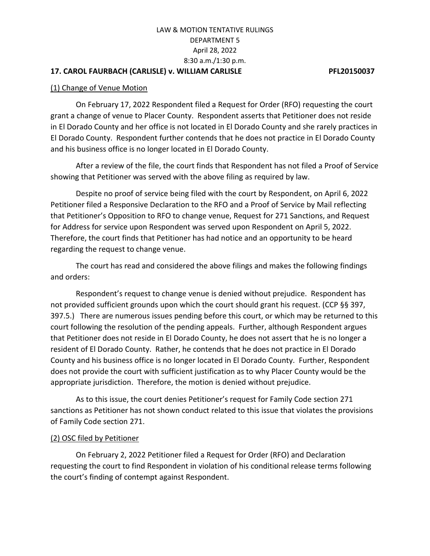## **17. CAROL FAURBACH (CARLISLE) v. WILLIAM CARLISLE PFL20150037**

### (1) Change of Venue Motion

On February 17, 2022 Respondent filed a Request for Order (RFO) requesting the court grant a change of venue to Placer County. Respondent asserts that Petitioner does not reside in El Dorado County and her office is not located in El Dorado County and she rarely practices in El Dorado County. Respondent further contends that he does not practice in El Dorado County and his business office is no longer located in El Dorado County.

After a review of the file, the court finds that Respondent has not filed a Proof of Service showing that Petitioner was served with the above filing as required by law.

Despite no proof of service being filed with the court by Respondent, on April 6, 2022 Petitioner filed a Responsive Declaration to the RFO and a Proof of Service by Mail reflecting that Petitioner's Opposition to RFO to change venue, Request for 271 Sanctions, and Request for Address for service upon Respondent was served upon Respondent on April 5, 2022. Therefore, the court finds that Petitioner has had notice and an opportunity to be heard regarding the request to change venue.

The court has read and considered the above filings and makes the following findings and orders:

Respondent's request to change venue is denied without prejudice. Respondent has not provided sufficient grounds upon which the court should grant his request. (CCP §§ 397, 397.5.) There are numerous issues pending before this court, or which may be returned to this court following the resolution of the pending appeals. Further, although Respondent argues that Petitioner does not reside in El Dorado County, he does not assert that he is no longer a resident of El Dorado County. Rather, he contends that he does not practice in El Dorado County and his business office is no longer located in El Dorado County. Further, Respondent does not provide the court with sufficient justification as to why Placer County would be the appropriate jurisdiction. Therefore, the motion is denied without prejudice.

As to this issue, the court denies Petitioner's request for Family Code section 271 sanctions as Petitioner has not shown conduct related to this issue that violates the provisions of Family Code section 271.

### (2) OSC filed by Petitioner

On February 2, 2022 Petitioner filed a Request for Order (RFO) and Declaration requesting the court to find Respondent in violation of his conditional release terms following the court's finding of contempt against Respondent.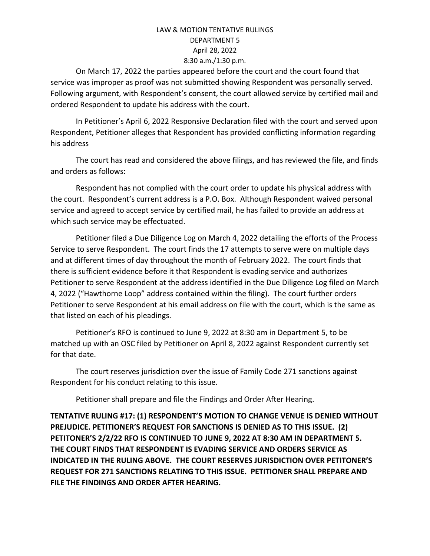On March 17, 2022 the parties appeared before the court and the court found that service was improper as proof was not submitted showing Respondent was personally served. Following argument, with Respondent's consent, the court allowed service by certified mail and ordered Respondent to update his address with the court.

In Petitioner's April 6, 2022 Responsive Declaration filed with the court and served upon Respondent, Petitioner alleges that Respondent has provided conflicting information regarding his address

The court has read and considered the above filings, and has reviewed the file, and finds and orders as follows:

Respondent has not complied with the court order to update his physical address with the court. Respondent's current address is a P.O. Box. Although Respondent waived personal service and agreed to accept service by certified mail, he has failed to provide an address at which such service may be effectuated.

Petitioner filed a Due Diligence Log on March 4, 2022 detailing the efforts of the Process Service to serve Respondent. The court finds the 17 attempts to serve were on multiple days and at different times of day throughout the month of February 2022. The court finds that there is sufficient evidence before it that Respondent is evading service and authorizes Petitioner to serve Respondent at the address identified in the Due Diligence Log filed on March 4, 2022 ("Hawthorne Loop" address contained within the filing). The court further orders Petitioner to serve Respondent at his email address on file with the court, which is the same as that listed on each of his pleadings.

Petitioner's RFO is continued to June 9, 2022 at 8:30 am in Department 5, to be matched up with an OSC filed by Petitioner on April 8, 2022 against Respondent currently set for that date.

The court reserves jurisdiction over the issue of Family Code 271 sanctions against Respondent for his conduct relating to this issue.

Petitioner shall prepare and file the Findings and Order After Hearing.

**TENTATIVE RULING #17: (1) RESPONDENT'S MOTION TO CHANGE VENUE IS DENIED WITHOUT PREJUDICE. PETITIONER'S REQUEST FOR SANCTIONS IS DENIED AS TO THIS ISSUE. (2) PETITONER'S 2/2/22 RFO IS CONTINUED TO JUNE 9, 2022 AT 8:30 AM IN DEPARTMENT 5. THE COURT FINDS THAT RESPONDENT IS EVADING SERVICE AND ORDERS SERVICE AS INDICATED IN THE RULING ABOVE. THE COURT RESERVES JURISDICTION OVER PETITONER'S REQUEST FOR 271 SANCTIONS RELATING TO THIS ISSUE. PETITIONER SHALL PREPARE AND FILE THE FINDINGS AND ORDER AFTER HEARING.**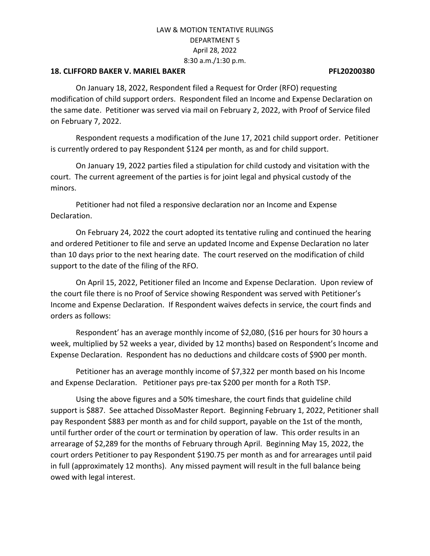### **18. CLIFFORD BAKER V. MARIEL BAKER PFL20200380**

On January 18, 2022, Respondent filed a Request for Order (RFO) requesting modification of child support orders. Respondent filed an Income and Expense Declaration on the same date. Petitioner was served via mail on February 2, 2022, with Proof of Service filed on February 7, 2022.

Respondent requests a modification of the June 17, 2021 child support order. Petitioner is currently ordered to pay Respondent \$124 per month, as and for child support.

On January 19, 2022 parties filed a stipulation for child custody and visitation with the court. The current agreement of the parties is for joint legal and physical custody of the minors.

Petitioner had not filed a responsive declaration nor an Income and Expense Declaration.

On February 24, 2022 the court adopted its tentative ruling and continued the hearing and ordered Petitioner to file and serve an updated Income and Expense Declaration no later than 10 days prior to the next hearing date. The court reserved on the modification of child support to the date of the filing of the RFO.

On April 15, 2022, Petitioner filed an Income and Expense Declaration. Upon review of the court file there is no Proof of Service showing Respondent was served with Petitioner's Income and Expense Declaration. If Respondent waives defects in service, the court finds and orders as follows:

Respondent' has an average monthly income of \$2,080, (\$16 per hours for 30 hours a week, multiplied by 52 weeks a year, divided by 12 months) based on Respondent's Income and Expense Declaration. Respondent has no deductions and childcare costs of \$900 per month.

Petitioner has an average monthly income of \$7,322 per month based on his Income and Expense Declaration. Petitioner pays pre-tax \$200 per month for a Roth TSP.

Using the above figures and a 50% timeshare, the court finds that guideline child support is \$887. See attached DissoMaster Report. Beginning February 1, 2022, Petitioner shall pay Respondent \$883 per month as and for child support, payable on the 1st of the month, until further order of the court or termination by operation of law. This order results in an arrearage of \$2,289 for the months of February through April. Beginning May 15, 2022, the court orders Petitioner to pay Respondent \$190.75 per month as and for arrearages until paid in full (approximately 12 months). Any missed payment will result in the full balance being owed with legal interest.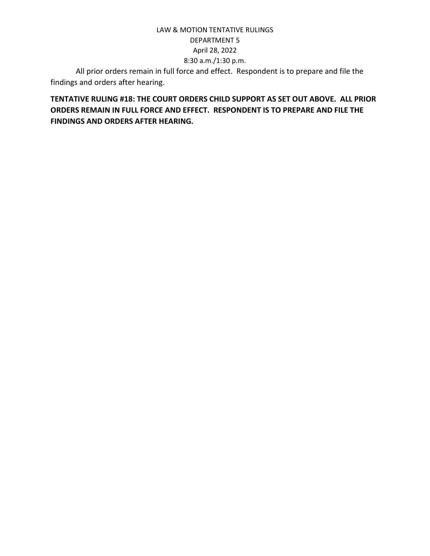All prior orders remain in full force and effect. Respondent is to prepare and file the findings and orders after hearing.

**TENTATIVE RULING #18: THE COURT ORDERS CHILD SUPPORT AS SET OUT ABOVE. ALL PRIOR ORDERS REMAIN IN FULL FORCE AND EFFECT. RESPONDENT IS TO PREPARE AND FILE THE FINDINGS AND ORDERS AFTER HEARING.**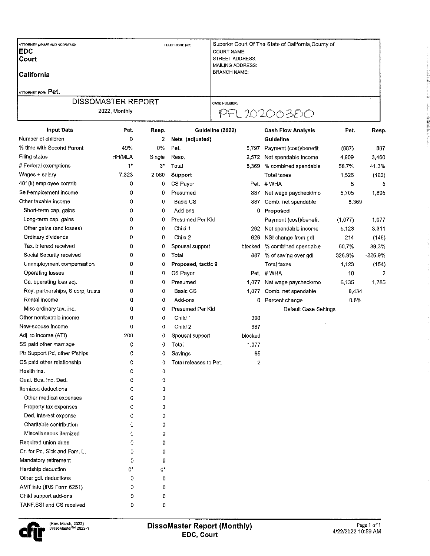| <b>ATTORNEY (NAME AND ADDRESS):</b><br><b>IEDC</b><br><b>Court</b><br><b>California</b> | TELEPHONE NO: | Superior Court Of The State of California, County of<br><b>COURT NAME:</b><br><b>STREET ADDRESS:</b><br>MAILING ADDRESS:<br><b>BRANCH NAME:</b> |  |
|-----------------------------------------------------------------------------------------|---------------|-------------------------------------------------------------------------------------------------------------------------------------------------|--|
| <b>ATTORNEY FOR: Pet.</b><br><b>DISSOMASTER REPORT</b>                                  |               |                                                                                                                                                 |  |
| 2022, Monthly                                                                           |               | <b>CASE NUMBER:</b><br>PFL 20200380                                                                                                             |  |

| <b>Input Data</b>                 | Pet.          | Resp.       | Guideline (2022)       |         | <b>Cash Flow Analysis</b>    | Pet.    | Resp.     |
|-----------------------------------|---------------|-------------|------------------------|---------|------------------------------|---------|-----------|
| Number of children                | 0             | 2           | Nets (adjusted)        |         | <b>Guideline</b>             |         |           |
| % time with Second Parent         | 49%           | 0%          | Pet.                   |         | 5,797 Payment (cost)/benefit | (887)   | 837       |
| Filing status                     | <b>HH/MLA</b> | Single      | Resp.                  |         | 2,572 Net spendable income   | 4,909   | 3,460     |
| # Federal exemptions              | 1*            | $3^{\star}$ | Total                  | 3,369   | % combined spendable         | 58.7%   | 41.3%     |
| Wages + salary                    | 7,323         | 2,080       | Support                |         | Total taxes                  | 1,526   | (492)     |
| 401(k) employee contrib           | 0             | 0           | CS Payor               |         | Pet. #WHA                    | 5       | 5         |
| Self-employment income            | 0             | 0           | Presumed               | 887     | Net wage paycheck/mo         | 5,705   | 1,895     |
| Other taxable income              | 0             | 0           | Basic CS               | 887     | Comb. net spendable          | 8,369   |           |
| Short-term cap. gains             | 0             | 0           | Add-ons                | 0       | Proposed                     |         |           |
| Long-term cap. gains              | 0             | 0           | Presumed Per Kid       |         | Payment (cost)/benefit       | (1,077) | 1,077     |
| Other gains (and losses)          | 0             | 0           | Child 1                |         | 262 Net spendable income     | 5,123   | 3,311     |
| Ordinary dividends                | 0             | 0           | Child 2                | 626     | NSI change from gdl          | 214     | (149)     |
| Tax, interest received            | 0             | 0           | Spousal support        | blocked | % combined spendable         | 60.7%   | 39.3%     |
| Social Security received          | 0             | 0           | Total                  | 887     | % of saving over gdl         | 326.9%  | $-226.9%$ |
| Unemployment compensation         | 0             | O           | Proposed, tactic 9     |         | <b>Total taxes</b>           | 1,123   | (154)     |
| Operating losses                  | 0             | 0           | CS Payor               |         | Pet #WHA                     | 10      | 2         |
| Ca. operating loss adj.           | 0             | 0           | Presumed               |         | 1,077 Net wage paycheck/mo   | 6,135   | 1,785     |
| Roy, partnerships, S corp, trusts | 0             | 0           | Basic CS               | 1,077   | Comb. net spendable          | 8,434   |           |
| Rental income                     | 0             | 0           | Add-ons                |         | 0 Percent change             | 0.8%    |           |
| Misc ordinary tax. inc.           | 0             | 0           | Presumed Per Kid       |         | Default Case Settings        |         |           |
| Other nontaxable income           | 0             | 0           | Child 1                | 390     |                              |         |           |
| New-spouse income                 | 0             | 0           | Child 2                | 687     |                              |         |           |
| Adj. to income (ATI)              | 200           | 0           | Spousal support        | blocked |                              |         |           |
| SS paid other marriage            | 0             | 0           | Total                  | 1,077   |                              |         |           |
| Ptr Support Pd. other P'ships     | 0             | 0           | Savings                | 65      |                              |         |           |
| CS paid other relationship        | 0             | 0           | Total releases to Pet. | 2       |                              |         |           |
| Health ins.                       | 0             | 0           |                        |         |                              |         |           |
| Qual. Bus. Inc. Ded.              | 0             | 0           |                        |         |                              |         |           |
| Itemized deductions               | 0             | 0           |                        |         |                              |         |           |
| Other medical expenses            | 0             | 0           |                        |         |                              |         |           |
| Property tax expenses             | 0             | 0           |                        |         |                              |         |           |
| Ded. interest expense             | 0             | 0           |                        |         |                              |         |           |
| Charitable contribution           | 0             | 0           |                        |         |                              |         |           |
| Miscellaneous itemized            | 0             | 0           |                        |         |                              |         |           |
| Required union dues               | 0             | 0           |                        |         |                              |         |           |
| Cr. for Pd. Sick and Fam. L.      | 0             | 0           |                        |         |                              |         |           |
| Mandatory retirement              | 0             | 0           |                        |         |                              |         |           |
| Hardship deduction                | 0*            | 0*          |                        |         |                              |         |           |
| Other gdl. deductions             | 0             | 0           |                        |         |                              |         |           |
| AMT info (IRS Form 6251)          | 0             | 0           |                        |         |                              |         |           |
| Child support add-ons             | 0             | 0           |                        |         |                              |         |           |
| TANE SSI and CS received          | O.            | o           |                        |         |                              |         |           |

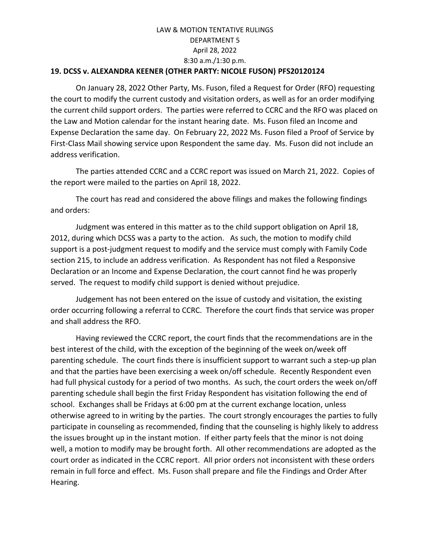## **19. DCSS v. ALEXANDRA KEENER (OTHER PARTY: NICOLE FUSON) PFS20120124**

On January 28, 2022 Other Party, Ms. Fuson, filed a Request for Order (RFO) requesting the court to modify the current custody and visitation orders, as well as for an order modifying the current child support orders. The parties were referred to CCRC and the RFO was placed on the Law and Motion calendar for the instant hearing date. Ms. Fuson filed an Income and Expense Declaration the same day. On February 22, 2022 Ms. Fuson filed a Proof of Service by First-Class Mail showing service upon Respondent the same day. Ms. Fuson did not include an address verification.

The parties attended CCRC and a CCRC report was issued on March 21, 2022. Copies of the report were mailed to the parties on April 18, 2022.

The court has read and considered the above filings and makes the following findings and orders:

Judgment was entered in this matter as to the child support obligation on April 18, 2012, during which DCSS was a party to the action. As such, the motion to modify child support is a post-judgment request to modify and the service must comply with Family Code section 215, to include an address verification. As Respondent has not filed a Responsive Declaration or an Income and Expense Declaration, the court cannot find he was properly served. The request to modify child support is denied without prejudice.

Judgement has not been entered on the issue of custody and visitation, the existing order occurring following a referral to CCRC. Therefore the court finds that service was proper and shall address the RFO.

Having reviewed the CCRC report, the court finds that the recommendations are in the best interest of the child, with the exception of the beginning of the week on/week off parenting schedule. The court finds there is insufficient support to warrant such a step-up plan and that the parties have been exercising a week on/off schedule. Recently Respondent even had full physical custody for a period of two months. As such, the court orders the week on/off parenting schedule shall begin the first Friday Respondent has visitation following the end of school. Exchanges shall be Fridays at 6:00 pm at the current exchange location, unless otherwise agreed to in writing by the parties. The court strongly encourages the parties to fully participate in counseling as recommended, finding that the counseling is highly likely to address the issues brought up in the instant motion. If either party feels that the minor is not doing well, a motion to modify may be brought forth. All other recommendations are adopted as the court order as indicated in the CCRC report. All prior orders not inconsistent with these orders remain in full force and effect. Ms. Fuson shall prepare and file the Findings and Order After Hearing.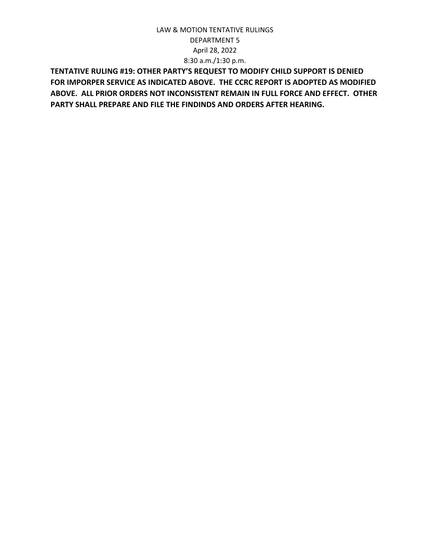**TENTATIVE RULING #19: OTHER PARTY'S REQUEST TO MODIFY CHILD SUPPORT IS DENIED FOR IMPORPER SERVICE AS INDICATED ABOVE. THE CCRC REPORT IS ADOPTED AS MODIFIED ABOVE. ALL PRIOR ORDERS NOT INCONSISTENT REMAIN IN FULL FORCE AND EFFECT. OTHER PARTY SHALL PREPARE AND FILE THE FINDINDS AND ORDERS AFTER HEARING.**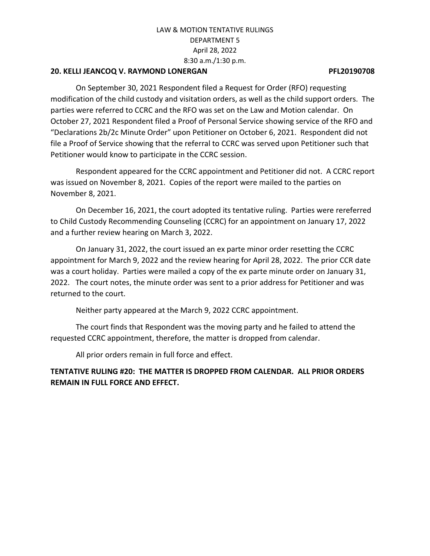## **20. KELLI JEANCOQ V. RAYMOND LONERGAN PFL20190708**

On September 30, 2021 Respondent filed a Request for Order (RFO) requesting modification of the child custody and visitation orders, as well as the child support orders. The parties were referred to CCRC and the RFO was set on the Law and Motion calendar. On October 27, 2021 Respondent filed a Proof of Personal Service showing service of the RFO and "Declarations 2b/2c Minute Order" upon Petitioner on October 6, 2021. Respondent did not file a Proof of Service showing that the referral to CCRC was served upon Petitioner such that Petitioner would know to participate in the CCRC session.

Respondent appeared for the CCRC appointment and Petitioner did not. A CCRC report was issued on November 8, 2021. Copies of the report were mailed to the parties on November 8, 2021.

On December 16, 2021, the court adopted its tentative ruling. Parties were rereferred to Child Custody Recommending Counseling (CCRC) for an appointment on January 17, 2022 and a further review hearing on March 3, 2022.

On January 31, 2022, the court issued an ex parte minor order resetting the CCRC appointment for March 9, 2022 and the review hearing for April 28, 2022. The prior CCR date was a court holiday. Parties were mailed a copy of the ex parte minute order on January 31, 2022. The court notes, the minute order was sent to a prior address for Petitioner and was returned to the court.

Neither party appeared at the March 9, 2022 CCRC appointment.

The court finds that Respondent was the moving party and he failed to attend the requested CCRC appointment, therefore, the matter is dropped from calendar.

All prior orders remain in full force and effect.

**TENTATIVE RULING #20: THE MATTER IS DROPPED FROM CALENDAR. ALL PRIOR ORDERS REMAIN IN FULL FORCE AND EFFECT.**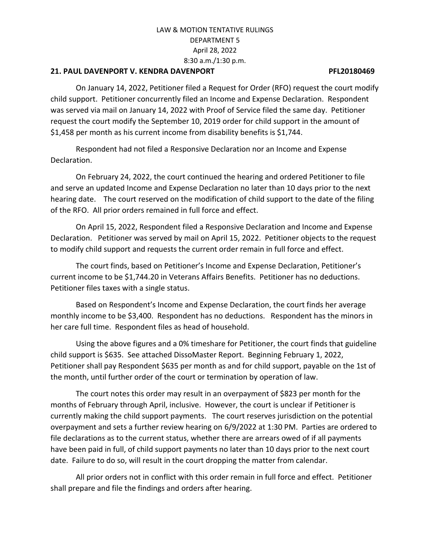## **21. PAUL DAVENPORT V. KENDRA DAVENPORT PFL20180469**

On January 14, 2022, Petitioner filed a Request for Order (RFO) request the court modify child support. Petitioner concurrently filed an Income and Expense Declaration. Respondent was served via mail on January 14, 2022 with Proof of Service filed the same day. Petitioner request the court modify the September 10, 2019 order for child support in the amount of \$1,458 per month as his current income from disability benefits is \$1,744.

Respondent had not filed a Responsive Declaration nor an Income and Expense Declaration.

On February 24, 2022, the court continued the hearing and ordered Petitioner to file and serve an updated Income and Expense Declaration no later than 10 days prior to the next hearing date. The court reserved on the modification of child support to the date of the filing of the RFO. All prior orders remained in full force and effect.

On April 15, 2022, Respondent filed a Responsive Declaration and Income and Expense Declaration. Petitioner was served by mail on April 15, 2022. Petitioner objects to the request to modify child support and requests the current order remain in full force and effect.

The court finds, based on Petitioner's Income and Expense Declaration, Petitioner's current income to be \$1,744.20 in Veterans Affairs Benefits. Petitioner has no deductions. Petitioner files taxes with a single status.

Based on Respondent's Income and Expense Declaration, the court finds her average monthly income to be \$3,400. Respondent has no deductions. Respondent has the minors in her care full time. Respondent files as head of household.

Using the above figures and a 0% timeshare for Petitioner, the court finds that guideline child support is \$635. See attached DissoMaster Report. Beginning February 1, 2022, Petitioner shall pay Respondent \$635 per month as and for child support, payable on the 1st of the month, until further order of the court or termination by operation of law.

The court notes this order may result in an overpayment of \$823 per month for the months of February through April, inclusive. However, the court is unclear if Petitioner is currently making the child support payments. The court reserves jurisdiction on the potential overpayment and sets a further review hearing on 6/9/2022 at 1:30 PM. Parties are ordered to file declarations as to the current status, whether there are arrears owed of if all payments have been paid in full, of child support payments no later than 10 days prior to the next court date. Failure to do so, will result in the court dropping the matter from calendar.

All prior orders not in conflict with this order remain in full force and effect. Petitioner shall prepare and file the findings and orders after hearing.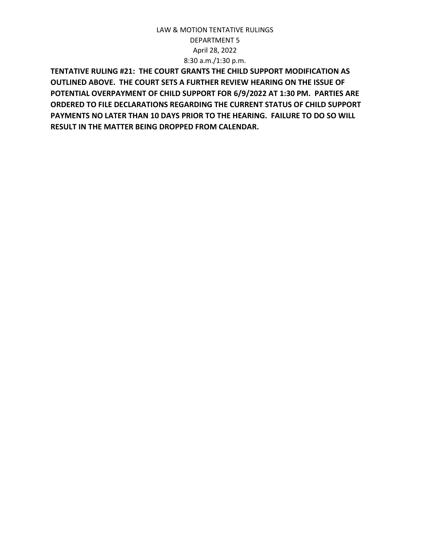**TENTATIVE RULING #21: THE COURT GRANTS THE CHILD SUPPORT MODIFICATION AS OUTLINED ABOVE. THE COURT SETS A FURTHER REVIEW HEARING ON THE ISSUE OF POTENTIAL OVERPAYMENT OF CHILD SUPPORT FOR 6/9/2022 AT 1:30 PM. PARTIES ARE ORDERED TO FILE DECLARATIONS REGARDING THE CURRENT STATUS OF CHILD SUPPORT PAYMENTS NO LATER THAN 10 DAYS PRIOR TO THE HEARING. FAILURE TO DO SO WILL RESULT IN THE MATTER BEING DROPPED FROM CALENDAR.**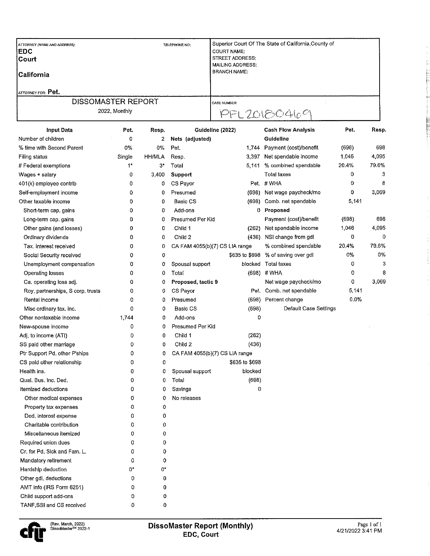| <b>ATTORNEY (NAME AND ADDRESS):</b><br><b>IEDC</b><br><b>Court</b><br><b>California</b><br><b>ATTORNEY FOR: Pet.</b> | TELEPHONE NO: | Superior Court Of The State of California, County of<br><b>COURT NAME:</b><br><b>STREET ADDRESS:</b><br><b>MAILING ADDRESS:</b><br><b>BRANCH NAME:</b> |
|----------------------------------------------------------------------------------------------------------------------|---------------|--------------------------------------------------------------------------------------------------------------------------------------------------------|
| <b>DISSOMASTER REPORT</b>                                                                                            |               | <b>CASE NUMBER:</b>                                                                                                                                    |
| 2022, Monthly                                                                                                        |               | PPL20180469                                                                                                                                            |

| <b>Input Data</b>                 | Pet.   | Resp.         | Guideline (2022)               |                | <b>Cash Flow Analysis</b>           | Pet.  | Resp. |
|-----------------------------------|--------|---------------|--------------------------------|----------------|-------------------------------------|-------|-------|
| Number of children                | 0      | 2             | Nets (adjusted)                |                | Guideline                           |       |       |
| % time with Second Parent         | 0%     | 0%            | Pet.                           | 1,744          | Payment (cost)/benefit              | (698) | 698   |
| Filing status                     | Single | <b>HH/MLA</b> | Resp.                          | 3,397          | Net spendable income                | 1,046 | 4,095 |
| # Federal exemptions              | $1^*$  | $3^{\star}$   | Total                          | 5,141          | % combined spendable                | 20.4% | 79.6% |
| Wages + salary                    | 0      | 3,400         | <b>Support</b>                 |                | Total taxes                         | 0     | 3     |
| 401(k) employee contrib           | 0      | 0             | CS Payor                       |                | Pet #WHA                            | 0     | 8     |
| Self-employment income            | 0      | 0             | Presumed                       | (698)          | Net wage paycheck/mo                | 0     | 3,069 |
| Other taxable income              | 0      | 0             | Basic CS                       | (698)          | Comb. net spendable                 | 5,141 |       |
| Short-term cap. gains             | 0      | 0             | Add-ons                        |                | 0 Proposed                          |       |       |
| Long-term cap, gains              | 0      | 0             | Presumed Per Kid               |                | Payment (cost)/benefit              | (698) | 698   |
| Other gains (and losses)          | 0      | 0             | Child 1                        | (262)          | Net spendable income                | 1,046 | 4,095 |
| Ordinary dividends                | 0      | 0             | Child 2                        | (436)          | NSI change from gdl                 | 0     | 0     |
| Tax. interest received            | 0      | 0             | CA FAM 4055(b)(7) CS LIA range |                | % combined spendable                | 20.4% | 79.6% |
| Social Security received          | 0      | 0             |                                |                | \$635 to \$698 % of saving over gdl | 0%    | 0%    |
| Unemployment compensation         | 0      | 0             | Spousal support                | blocked        | <b>Total taxes</b>                  | 0     | 3     |
| Operating losses                  | 0      | 0             | Total                          | (698)          | #WHA                                | 0     | 8     |
| Ca. operating loss adj.           | 0      | 0             | Proposed, tactic 9             |                | Net wage paycheck/mo                | 0     | 3,069 |
| Roy, partnerships, S corp, trusts | 0      | 0             | CS Payor                       |                | Pet. Comb. net spendable            | 5,141 |       |
| Rental income                     | 0      | 0             | Presumed                       |                | (698) Percent change                | 0.0%  |       |
| Misc ordinary tax. inc.           | 0      | 0             | Basic CS                       | (698)          | Default Case Settings               |       |       |
| Other nontaxable income           | 1,744  | 0             | Add-ons                        | 0              |                                     |       |       |
| New-spouse income                 | 0      | 0             | Presumed Per Kid               |                |                                     |       |       |
| Adj. to income (ATI)              | 0      | 0             | Child 1                        | (262)          |                                     |       |       |
| SS paid other marriage            | 0      | 0             | Child 2                        | (436)          |                                     |       |       |
| Ptr Support Pd. other P'ships     | 0      | 0             | CA FAM 4055(b)(7) CS LIA range |                |                                     |       |       |
| CS paid other relationship        | 0      | 0             |                                | \$635 to \$698 |                                     |       |       |
| Health ins.                       | 0      | 0             | Spousal support                | blocked        |                                     |       |       |
| Qual. Bus. Inc. Ded.              | 0      | 0             | Total                          | (698)          |                                     |       |       |
| Itemized deductions               | 0      | 0             | Savings                        | 0              |                                     |       |       |
| Other medical expenses            | 0      | 0             | No releases                    |                |                                     |       |       |
| Property tax expenses             | 0      | 0             |                                |                |                                     |       |       |
| Ded, interest expense             | 0      | 0             |                                |                |                                     |       |       |
| Charitable contribution           | 0      | 0             |                                |                |                                     |       |       |
| Miscellaneous itemized            | 0      | 0             |                                |                |                                     |       |       |
| Required union dues               | 0      | 0             |                                |                |                                     |       |       |
| Cr. for Pd. Sick and Fam. L.      | 0      | 0             |                                |                |                                     |       |       |
| Mandatory retirement              | 0      | 0             |                                |                |                                     |       |       |
| Hardship deduction                | 0*     | 0*            |                                |                |                                     |       |       |
| Other gdl. deductions             | 0      | 0             |                                |                |                                     |       |       |
| AMT info (IRS Form 6251)          | 0      | 0             |                                |                |                                     |       |       |
| Child support add-ons             | 0      | 0             |                                |                |                                     |       |       |
| TANF.SSI and CS received          | 0      | 0             |                                |                |                                     |       |       |